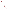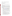### **AGENCY:** U.S. ENVIRONMENTAL PROTECTION AGENCY (EPA)

**TITLE:** Tribal Community: Reducing Toxic Air Pollutants Project (RFA)

**ACTION:** RFA - Initial Announcement

**RFA NO.:** OAR/ORIA/05-07

### **CATALOG OF FEDERAL DOMESTIC ASSISTANCE (CFDA) NO:** 66.034

### **DATES:**

The closing date for receipt of initial concept proposals is **May 4, 2005, 5 p.m. EDT**. Concept proposals **MUST** be received via Express Mail by the deadline date. No late concept proposals will be accepted.

Formal SF-424 "Application for Federal Assistance" and all supporting documentation will be accepted from eligible entities whose 2- page cover letter and 7-page concept proposals have been selected for award recommendation. Formal SF-424 "Applications for Federal Assistance" **MUST** be received via Express Mail by the deadline date. No late formal applications will be accepted. EPA will notify selected applicants no later than **June 1, 2005.** 

- 1. A pre-proposal conference call will be held **March 30, 2005 from 1:00 PM to 2:00 PM EST.** If you are interested in participating in this conference call please send an e-mail to "tribal.rfa@epa.gov" providing the organization's contact information (see Section IV, Stage 1) by **March 25, 2005.**
- 2. Once you have determined whether the organization is eligible (see Section III, Eligibility Information) submit a cover letter of up to two pages long and a concept proposal of up to 7 pages long, including a scope of work, budget and brief descriptions of key personnel on or before **May 4, 2005** (see Section IV, Stage 2).
- 3. EPA will notify all applicants regarding their application's status. EPA will notify selected applicants when award decisions are made. These notifications will take place by **June 1, 2005**.
- 4. EPA will host a Formal SF-424 "Application for Federal Assistance" Conference Call to help selected applicants develop formal applications on **June 7**, **2005 from 1:00 PM to 2:00 PM EDT.** (see Section IV, Stage 4)
- 5. Formal SF-424 "Application for Federal Assistance" from selected applicants is due on or before **June 23, 2005,** the closing date for receipt of formal applications. Formal applications **MUST** be received by express mail by the deadline date. No late formal applications will be accepted.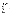### **SUMMARY**

### **A. Background**

Toxic air pollutants from indoor and outdoor sources, also known as hazardous air pollutants, are those that are known or suspected to cause cancer or other serious health effects. People and communities exposed to toxic air pollutants at sufficient concentrations and durations are more susceptible to other serious health effects. These health effects can include damage to the immune system, as well as neurological, reproductive (e.g., reduced fertility), developmental, respiratory and other health problems.

In 1999, EPA published the National Air Toxics Program: The Integrated Urban Strategy. The Integrated Urban Air Toxics Strategy has the goal of reducing public health risks (of cancer and other effects) from toxic air pollutants.

The strategy's three primary goals for addressing risks in urban and/or disproportionate areas are to:

- Ensure a 75% reduction in cancer incidence from stationary sources
- Ensure a "substantial" reduction in health risk from area (outdoor/indoor) sources
- Ensure that disproportionate risks are addressed for sensitive populations or where there are geographic hot spots.

Many government agencies and community organizations need to learn about the availability and use of air toxics reduction tools that would help them better assess and reduce air toxics in their local areas. Both citizens and science professionals are needed in developing effective locally based strategies that address air toxics.

An important component of EPA's efforts to reduce any remaining unacceptable risks is to work with States, local and Tribal organizations to understand the risks at the local level, target the problem areas, and tailor reduction strategies that can applied to specific problems in those areas. Training and educating these organizations on tools to reduce air toxics is a key element of this national outreach effort.

### **B. Notice of Available Funds**

The Tribal Community: Reducing Toxic Air Pollutants Project provides an opportunity for reducing risks from toxic air pollutants by training and education in the application of tools to address the cumulative risks posed by multiple sources (mobile, outdoor, and indoor air) and multiple pollutants.

This notice announces the availability of funds and solicits applications from eligible entities for projects to conduct education, training and outreach on the application of voluntary methods that effectively reduce the risk of human exposure to both indoor and outdoor toxic air pollutants in Tribal communities. EPA anticipates that Tribal community(s) members will collaborate with various Tribal government and nongovernment agencies, organizations, and stakeholders to conduct education, training, or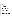outreach to reduce Tribal exposure to toxic air pollutants from indoor and outdoor sources.

EPA will emphasize project outputs/activities designed to demonstrate early success in reducing public health risk, as these will build acceptance and momentum within Tribes to adopt the methods taught. EPA will provide technical assistance to the Tribal community(s) to ensure the projects lead to environmental results, namely the reduction of toxic air pollutants*.* 

**FUNDING/AWARDS:** EPA anticipates total funding of \$100,000 and awarding 1-3 cooperative assistance agreements, ranging from \$33,000 to \$100,000.

## **CONTENTS BY SECTION:**

- I. Funding Opportunity Description
- II. Award Information
- III. Eligibility Information
- IV. Concept Proposal and Application Process
- V. Application Review Information
- VI. Award Administration Information
- VII. Agency Contact(s)
- VIII. Other Information

## **I. FUNDING OPPORTUNITY DESCRIPTION**

*This Competitive Funding Announcement supports the EPA's Goal 1: Clean Air and Global Climate Change; Objective 1.1 Healthier Outdoor Air and Objective 1.2 Healthier Indoor Air; Sub-objective 1.1.1 – More People Breathing Cleaner Air; Subobjective 1.1.2 – Reduced Risk from Toxic Air Pollutants. The selected applicant(s) in completing this project will work within Tribal community(s) to provide education, training and outreach.* 

The outputs of this project will include education, training, and outreach on the application of voluntary activities that effectively reduce the risk of exposure to indoor and outdoor toxic air pollutants.

The outcome of this project is the demonstrated reduction of indoor and outdoor toxic air pollutants among Tribal populations, with special emphasis on those most at risk for adverse health effects, i.e., elders, infants and young children, and pregnant women.

The goal of this project is to increase the number of Tribal communities with the awareness and technical knowledge to take voluntary actions leading to healthier indoor and outdoor environments, through cleaner air and reduced risk from toxic air pollutants.

EPA is soliciting grant applications from entities partnering with a Tribal community(s) to conduct education, training and outreach project(s) that apply risk reduction activities aimed at tracking and reducing exposure to indoor and outdoor toxic air pollutants.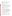### **Scope of Work**

EPA seeks concept proposals and applications from eligible entities to fund education, training, and outreach projects that will lead to reduction in human exposure to toxic air pollutants from indoor and outdoor sources in Tribal communities.

Project outputs/activities should aim to reduce toxic air pollutants from indoor and outdoor sources.

### **Outputs/Activities to reduce indoor toxic air pollutants**

Examples of outputs/activities that would be eligible for funding include, but are not limited to the following:

Education, training, and outreach on the application of toxic air pollutants risk reduction methods comparable to, or consistent with, EPA's Smoke-free Home Pledge Campaign, the IAQ Tools for Schools Program, or the Asthma Education and Outreach campaign.

Education, training, and outreach on the application of methods to identify and reduce exposure to radon, volatile organic compounds (VOC's), combustion gases, or other indoor air toxic pollutants. For more information, please go to www.epa.gov/iaq.

### **Outputs/Activities to reduce outdoor toxic air pollutants**

Examples of outputs/activities that would be eligible for funding include, but are not limited to the following:

Education, training, and outreach on the application of EPA's mobile-source pollution reduction activities, such as adoption of anti-idling programs; encouraging incentives for carpooling, public transit and other environmentally friendly commuter choices; and encouraging use of highway-grade diesel fuel for off-road use. For more information, please go to www.epa.gov/otaq/voluntary.htm

Education, training, and outreach on the application of EPA's stationary source pollution reduction activities, such as encouraging hazardous waste collection programs (e.g., gas can exchange) and promoting measures to reduce toxic emissions from gasoline stations, automotive paint and body shops, chromium electroplaters, dry cleaners, or printing operations.

### **Examples of environmental outcomes/results indicating reductions in indoor and outdoor toxic air pollutants**

• Increase in the number of Tribal members adopting indoor toxic air pollutant risk reduction methods for their homes, such as reducing their children's exposure to environmental tobacco smoke by pledging to create a Smoke-free Home (Indoor)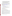- Increase in the number of Tribal schools adopting air quality management methods comparable to EPA's IAQ Tools for Schools Program (Indoor)
- Reduction in number of hospitalizations, emergency room visits, asthmatic episodes in Tribal communities due to children's exposure to environmental triggers that are toxic air pollutants (Outdoor & Indoor)
- Reduction in the pounds of Particulate Emissions (PM) (Outdoor)
- Increase in the number of gas cans replaced with Low-VOC cans. (Outdoor)

For more information and examples on community-based air toxic projects and risk reduction strategies/activities refer to the Community Air Toxics Assessment and Risk Reduction Strategies at [http://www.epa.gov/ttn/atw/urban/mainwks.html.](http://www.epa.gov/ttn/atw/urban/mainwks.html) For information on local health risks from toxic air pollutants refer to the National Air Toxic Assessment at [http://www.epa.gov/ttn/atw/nata/index.html.](http://www.epa.gov/ttn/atw/nata/index.html)

### **Supplementary Information**

- The statutory authority for this action is Clean Air Act Section 103, Subsections (b) and (b) (3). For detailed information on the CAA go to [http://www.epa.gov/oar/caa/caa103.txt.](http://www.epa.gov/oar/caa/caa103.txt)
- The Catalog of Federal Domestic Assistance (CFDA) number is 66.034.
- Executive Order 12372, Intergovernmental Review of Federal Programs is applicable to awards resulting from this announcement.

## **II. AWARD INFORMATION**

### **A. What is the amount of funding available?**

The total estimated funding for this project is \$100,000.

## **B. How many agreements will EPA award in this competition?**

EPA anticipates awarding 1-3 cooperative assistance agreements, ranging from \$33,000 to \$100,000, subject to availability of funds and the quality of applications submitted.

Applications evaluated but not selected for this funding may be retained for a period of 12 months for possible future award under this announcement, subject to the availability of additional funds.

Cooperative assistance agreements permit substantial involvement between the EPA Project Officer and the selected applicants in the performance of the work supported. Although EPA will negotiate precise terms and conditions relating to its substantial involvement as part of the award process, the anticipated substantial federal involvement for this project will be:

a. Close monitoring of the applicant's performance;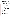- b. Collaboration during performance of the scope of work;
- c. Review qualifications of key personnel (EPA will not select employees or contractors employed by the award recipient);

d. Review and comment on reports prepared under the cooperative assistance agreement. .

## **C. What is the project period for award(s) resulting from this solicitation?**

The estimated project and budget period for awards resulting from this solicitation is October 2005 to September 2007. All projects must be completed within the negotiated project performance period of 24 months.

## **D. Can funding be used to acquire services or fund partnerships?**

Funding may be used to acquire services or fund partnerships, provided the recipient follows procurement and subaward or subgrant procedures contained in 40 CFR Parts 30 or 31, as applicable. Selected applicants must compete contracts for services and products and conduct cost and price analysis to the extent required by these regulations. The regulations also contain limitations on consultant compensation.

Applicants are not required to identify contractors or consultants in their concept proposal. Moreover, the fact that a selected applicant has named a specific contractor or consultant in the concept proposal EPA approves does not relieve it of its obligations to comply with competitive procurement requirements.

Subgrants or subawards may be used to fund partnerships with non-profit organizations and governmental entities. Successful applicants cannot use subgrants or subawards to avoid requirements in EPA grant regulations for competitive procurement by using these instruments to acquire commercial services or products to carry out its cooperative agreement. The nature of the transaction between the recipient and the subgrantee must be consistent with the standards for distinguishing between vendor transactions and subrecipient assistance under Subpart B Section .210 of OMB Circular A-133, and the definitions of "subaward" at 40 CFR 30.2(ff) or "subgrant" at 40 CFR 31.3, as applicable. EPA will not be a party to these transactions.

# **III. ELIGIBILITY INFORMATION**

## **A. Eligible Entities**

To be eligible to compete for these assistance funds, applicants must:

- 1. Meet standards for eligibility described in Section 103 of the Clean Air Act. [\(http://www.epa.gov/oar/caa/caa103.txt\)](http://www.epa.gov/oar/caa/caa103.txt)
- 2. Eligible entities include state, local, and federally recognized Indian Tribal governments or hospitals, as defined by OMB Circular A-87; colleges and universities as defined by OMB Circular A-21; and non-profit organizations, as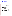defined by OMB Circular A-122 (see [www.whitehouse.gov/omb/circulars/a122/a122.html\)](http://www.whitehouse.gov/omb/circulars/a122/a122.html)

## **B. Cost Sharing or Matching**

Selected applicants are not required to cost share or match Federal funds for this project.

## **IV. CONCEPT PROPOSAL, APPLICATION AND SUBMISSION PROCESS**

The process involves five stages:

- Stage 1 is a pre-proposal conference call.
- Stage 2 is the submission of up to a two-page cover letter and up to a seven-page concept proposal with a scope of work, budget and short biographical descriptions of key personnel. The concept proposal will be evaluated using the evaluation criteria set forth in Section V of this announcement.
- Stage 3 consists of an invitation to submit a formal SF-424 "Request for Federal Assistance" Application and all supporting documentation. Applicants whose cover letter and concept proposal are selected for award recommendation will be invited to participate in Stage 4 of the application process.
- Stage 4 is the Formal SF-424 "Request for Federal Assistance" Application Conference Call. This call will answer any questions applicants have about completing the formal SF-424 "Request for Federal Assistance" application package and all supporting documentation.
- Stage 5 is the submission of the formal SF-424 "Request for Federal Assistance "application and all supporting documentation.

### **Stage 1: Pre-proposal Conference Call**

This call will be held **March 30, 2005 from 1:00 PM to 2:00 PM EST.** The purpose of this call is to answer any questions applicants may have concerning eligibility, scope of work, budget, and formal application for federal assistance award process, project monitoring, etc. If the organization is interested in participating in the pre-proposal conference call, please e-mail EPA at tribal.rfa@epa.gov by **March 25, 2005**. In your email please provide the organization's contact information including: the name of the organization, a contact person's name, e-mail address, and phone and fax number.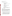### **Stage 2: Cover Letter and Concept Proposal**

#### *Elements of the Cover Letter*

The cover letter must provide all of the following information:

- 1) Contact information for the organization:
	- a) Name of organization
	- b) Contact person's name
	- c) Mailing address (express mail address if different than mailing address)
	- d) E-mail address
	- e) Phone and fax numbers
- 2) A statement that the organization is one of the following:
	- (a) federally recognized Indian Tribal government
	- (b) hospital
	- (c) state or local government
	- (d) college or university
	- (e) non-profit organization
- 3.) A statement that indicates a desire to participate in Stage 4 (Formal SF-424 "Request for Federal Assistance" Application Conference Call.), if the concept proposal is selected for award recommendation.

#### *Elements of the Concept Proposal*

In addition to the two page cover letter, organizations must submit a seven page concept proposal that includes a detailed work plan, itemized budget and brief biographical descriptions for key personnel. If more than seven pages are submitted only the first seven will be reviewed and evaluated. Text must be single-spaced, 12-point font and margins are not specified. Proposals must be legible and submitted in English or else they will not be reviewed. No additional materials (e.g., brochures, videos, etc.) beyond the seven page limit will be given to the review panel for consideration.

The concept proposal should address the following elements in the order provided:

**1. Overview of Project** – describe the basic structure of the proposed project and how you would expect to collaborate with Tribal community(s), EPA and others;

**2. Proposed Project Goals** – include a summary of your specific goals, objectives, outputs/activities and expected outcomes. Outputs and outcomes should be described specifically and, to the extent possible, qualitative and quantitative. Activities reducing public exposure to environmental triggers, thereby resulting in quantifiable outcomes such as reduced health risk, will be ranked higher than those that simply aim to disseminate information;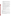**3. Target Population** – the target population identified by EPA is Tribal  $community(s)$ . Therefore, describe the chosen Tribal community and any distinct characteristics of the areas targeted for this work (e.g., environmental risk and toxic air pollutants);

**4. Methods and Materials** – describe the methods, approaches and materials you will use to achieve proposed project outputs/activities and goals/outcomes;

**5. Monitoring and Evaluation** – describe how project progress will be tracked and measured. Describe mechanisms used for tracking program outputs and evaluating program outcomes;

**6. Staff** – describe staffing needed to execute the proposed work plan, including number of staff and their qualifications. Include brief biographical descriptions on the qualifications and experience of key personnel, including any experience applying evaluation and tracking procedures, and managing grants;

**7. Budget** – itemize funds for personnel, fringe benefits, travel, equipment, supplies, contractual services, other (e.g., subaward), indirect costs and other pertinent information by proposed activity. Discuss how the budget relates to the goals, objectives, outputs, and outcomes in the work plan;

**8. Time line** – indicate project length, activity milestones, quarterly report submission and final report submission dates;

**9. Sustainability** – explain whether the project will continue beyond funds available through this announcement;

**10. Replication** – demonstrate and explain how this local project can be replicated in other Tribal communities (such concept proposals should describe how replication would occur).

The concept proposal will be evaluated against the criteria set forth in Section V of this announcement.

**The concept proposal with the scope of work, budget and key personnel shall be submitted no later than May 4, 2005.** 

## **Stage 3: Invitation to Submit a Formal SF-424 "Request for Federal Assistance" Application**

EPA will notify selected applicants when recommended award decisions are made. This notification will take place by **June 1, 2005**. Upon this notification, selected applicants will be given the invitation to submit a formal SF-424 "Request for Federal Assistance" application package and all supporting documentation.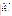**Stage 4:** Formal SF-424 "Request for Federal Assistance" Application Conference Call

The formal application assistance conference call is to answer any questions selected applicants may have about the federal application process. If the cover letter indicates a desire to participate in this call, then will e-mail instructions on how to participate in the conference call. This call will be scheduled on **June 7, 2005 from 1:00 PM to 2:00 PM EDT.** 

## **Stage 5: Formal SF-424 "Request for Federal Assistance" Application Submission**

When submitting the formal SF-424 **"Request for Federal Assistance" Application**, make sure it is consistent with the selected concept proposal. Formal SF-424 applications and all supporting documentation from selected applicants are due on or before **June 23, 2005.**

# **A. How to Obtain Application Package**

The complete formal "Request for Federal Assistance" application package can be downloaded from EPA's Office of Grants and Debarment website at: [http://www.epa.gov/ogd/grants/how\\_to\\_apply.htm](http://www.epa.gov/ogd/grants/how_to_apply.htm)

Selected applicants may request a paper copy of the application package by contacting the agency contact listed in Section VII of this announcement.

# **B. Content and Form of Formal SF-424 Application Package submission**

Selected applicants must submit the formal SF-424 application package consistent with the chosen original concept proposal. The chosen concept proposal will be matched with the appropriate formal SF-424 application when submitted from selected applicants. Please provide an original SF-424 and all supporting documentations with appropriate signatures and **two** copies.

## **1. A complete application must contain the following, in the sequential order shown:**

- a. SF-424 Application for Federal Assistance, with original signature
- b. SF-424 A, Budget by categories and indirect cost rate
- c. SF-424 B, Assurances for non-construction programs
- d. Certification Regarding Lobbying and SF LLL, if applicable
- e. EPA Form 4700-4 Pre-award Compliance review report
- f. EPA 5700-53 Lobbying and Litigation Certificate
- g. Quality Assurance Narrative Statement, if applicable
- h. Copy of Negotiated Indirect Cost Rate Agreement, if applicable
- I. E-mail address or self-addressed envelope (to receive notification of receipt of application)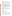### **Intergovernmental Review**

Executive Order 12372, Intergovernmental Review of Federal Programs may be applicable to awards, resulting from this announcement. Applicants selected for funding may be required to provide a copy of their formal SF-424 "Request for for Federal Assistance" application package to their State Point of Contact (SPOC) for review. This review is not required with the concept proposal and not all states require such a review.

## **Funding Restrictions**

Funding is only available for the activities authorized under one or more of the U.S. EPA grant authorities cited in Section 103 of the Clean Air Act. Funding will not be permitted for construction activity, lobbying, entertainment expenses, or other unallowable costs under the applicable OMB circulars. Pre-award costs and equipment costs are allowable only with the written consent of EPA. Allowable costs for non-profit organizations are defined in OMB circular A-122; allowable costs for public entities are defined in OMB circular A-87. Any contracts for services or products funded with EPA financial assistance must be awarded under the competitive procurement provisions of 40 CFR Part 30 or 40 CFR Part 31, as applicable. Subawards/subgrants must be consistent with the definitions of these terms in 40 CFR 30.2 (ff) and 40 CFR 31.3 Subgrant as applicable. EPA encourages applicants to compete subgrants. (See Section 4.2, confirmation of partner participation, for further details**.)** 

## **Other Submission Requirements**

Due to the unique situation involving U.S. mail screening, applicants **MUST** use an express mail option to submit their concept proposals and applications. **NO LATE PROPOSALS WILL BE ACCEPTED.** The concept proposal and application should be addressed to:

## **Express Delivery Address (FedEx, UPS, DHL, etc.)**

US EPA Attn: Shelley Blake Office of Radiation and Indoor Air Indoor Environments Division (Mail Code 6609J) "Tribal Community: Reducing Toxic Air Pollutants Project RFA" 1301 L Street, NW, Room 413J Washington, DC 20005 Phone: (202) 343-9819

In accordance with 40 CFR 2.203, applicants may claim all or a portion of their concept proposal and formal application as confidential business information. EPA will evaluate confidentiality claims in accordance with 40 CFR Part 2. Applicants must clearly mark and claim the entire concept proposal and applications and/or sections as confidential. If no claim of confidentiality is made, EPA is not required to make the inquiry to the applicant otherwise required by 40 CFR 2.204(c) (2) prior to disclosure.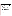# **V. APPLICATION REVIEW INFORMATION**

## **A. Evaluation Criteria**

Each concept proposal will be evaluated against the criteria set forth below. Applications that are best able to directly and explicitly address these criteria will have a greater likelihood of selection. Each concept proposal will be rated under a points system, with a total of 100 points possible. The evaluation criterion and sub-factors, in descending order of importance, are as follows:

| <b>Section</b> | <b>Criterion</b>                                                                                                                      | <b>Maximum</b><br><b>Points per</b> |
|----------------|---------------------------------------------------------------------------------------------------------------------------------------|-------------------------------------|
|                |                                                                                                                                       | <b>Criterion</b><br>(100 pt. Scale) |
| Sec I.         | <b>Project Objectives and Goals:</b>                                                                                                  | <b>Total Points</b>                 |
|                | The applicant's concept proposal identifies as the project's major                                                                    | (30)                                |
|                | goals, objectives, outputs and outcomes:                                                                                              |                                     |
| 1.             | Conduct training, outreach, and education on the application of                                                                       |                                     |
|                | voluntary methods and activities to reduce risk from toxic air<br>pollutants for a Tribal community(s);                               | 10                                  |
| 2.             | Address both indoor and outdoor air toxic exposures in a Tribal<br>community(s) and;                                                  | 5                                   |
| 3.             | Reduce toxic air pollutants with special emphasis on Tribal<br>members most at risk for adverse health effects, i.e., elders, infants | 5                                   |
|                | and young children, and pregnant women.                                                                                               |                                     |
| 4.             | Conduct education, training and outreach on the application of                                                                        | 10                                  |
|                | voluntary risk reduction activities/techniques that have been shown                                                                   |                                     |
|                | to be effective in reducing human exposure to toxic air pollutants.                                                                   |                                     |
| Sec. II.       | <b>Community Involvement and Effective Partnerships:</b>                                                                              | <b>Total Points</b><br>(30)         |
| 1.             | The concept proposal describes how the applicant will identify and                                                                    | 15                                  |
|                | collaborate and/or team with Tribal community(s) and various                                                                          |                                     |
|                | government and non-government agencies, organizations, and<br>stakeholders to reduce the Tribal communities' exposure to toxic air    |                                     |
|                | pollutants from indoor and outdoor sources.                                                                                           |                                     |
| 2.             | The applicant's concept proposal demonstrates how the project's                                                                       | 10                                  |
|                | work would be replicable in other Tribal communities as well                                                                          |                                     |
|                | achieve significant environmental results.                                                                                            | 5                                   |
| 3.             | The applicant's concept proposal explains whether the project will<br>continue beyond the life of the EPA financial assistance.       |                                     |
|                |                                                                                                                                       |                                     |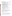| Sec. III         | <b>Project Budget and Resources:</b>                                                                                                                                                                                                           | <b>Total Points</b><br>(20) |
|------------------|------------------------------------------------------------------------------------------------------------------------------------------------------------------------------------------------------------------------------------------------|-----------------------------|
| 1.               | The proposed project budget is appropriate to accomplish the<br>proposed scope of work and deliverables.                                                                                                                                       | 10                          |
| 2.               | The applicant identifies sufficient staff to accomplish the proposed<br>scope of work; project staff has the knowledge and experience to<br>perform the proposed work.                                                                         | 5                           |
| 3.               | The applicant's concept proposal provides a project time line,<br>including project length, milestones, quarterly reports submissions,<br>and final report submission dates.                                                                   | 5                           |
| Sec. IV          | Monitoring and evaluating environmental results:                                                                                                                                                                                               | <b>Total Points</b>         |
|                  | Reducing indoor/outdoor toxic air pollutants in Tribal                                                                                                                                                                                         | (20)                        |
| 1.               | community(s)<br>The concept proposal describes a mechanism for tracking the                                                                                                                                                                    | 5                           |
|                  | project's progress. The tracking mechanism is practical, reasonable,<br>and provides periodic performance reports.                                                                                                                             |                             |
| 2.               | The concept proposal demonstrates the capacity to achieve<br>measurable outputs and/or intermediate and end outcomes. (This<br>should not emphasize data gathering at the expense of project<br>performance)                                   | 5                           |
| 3.               | The concept proposal includes a component for evaluating overall<br>project achievements                                                                                                                                                       | 5                           |
| $\overline{4}$ . | The concept proposal identifies past projects or activities that the<br>applicant has performed that demonstrate experience with tasks<br>similar in size, scope, complexity and relevance to the activities<br>required in this solicitation. | 5                           |

## **B. Review and Selection Process**

Each concept proposal will be reviewed by an evaluation team with expertise to address a full range of toxic air pollutants concerns and public education, training and outreach activities. The Evaluation Team will base its evaluation solely on the selection criteria disclosed in this notice. The highest numerically ranked concept proposal(s) subject to the quality and availability of funds will be selected for this award.

## **VI. AWARD ADMINISTRATION INFORMATION**

### **A. Award Notices**

Following final selections, all applicants will be notified regarding their application's status.

1.EPA will notify selected applicant(s) by telephone and e-mail prior to **June 1, 2005**. This notification, which advises that the applicant's concept proposal is selected by review panel and recommended for award, is not an authorization to begin the project activities. The EPA Award Official is the only official that can bind the Agency to the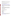expenditure of funds for selected projects resulting from this announcement. At a minimum, this process can take up to 90 days from the date of selection. The anticipated award date is October 1, 2005.

2. EPA will notify all applicant(s) via e-mail or phone by **June 1, 2005.** In either event, the notification will be sent to the original signer of the concept proposal.

# **B. Administrative and National Policy Requirements**

**1.** A listing and description of general EPA Regulations applicable to the award of assistance agreements may be viewed at: [http://www.epa.gov/ogd/AppKit/applicable\\_epa\\_regulations\\_and\\_description.htm.](http://www.epa.gov/ogd/AppKit/applicable_epa_regulations_and_description.htm) 

**2.** All applicants are required to provide a Dun and Bradstreet (D&B) Data Universal Numbering System (DUNS) number when applying for a Federal grant or cooperative agreement. Applicants can receive a DUNS number, at no cost, by calling the dedicated toll-free DUNS Number request line at 1-866-705-5711, or visiting the D&B website at: [http://www.dnb.com.](http://www.dnb.com) 

# **C. Reporting Requirement**

Quarterly performance reports and a detailed follow-up case-study report will be required. The case-study report should include: a summary of the project, reductions achieved if applicable, cost analysis, problems, successes, and lessons learned. The schedule for submission of quarterly reports will be established upon the official start date of the project and budget period.

## **VII. AGENCY CONTACT(S)**

# **FOR FURTHER INFORMATION CONTACT:**

# **Express Delivery Address (FedEx, UPS, DHL, etc.)**

Shelley Blake, US EPA Office of Air and Radiation Indoor Environments Division (MC 6609J) 1301 L Street, NW Room 413J Washington, DC 20005 Phone: (202) 343-9819 Fax (202) 343-2392 e-mail tribal.rfa@epa.gov

Questions or comments must be communicated in writing via express mail, facsimile, or e-mail to the contact person listed above. Answers will be posted, bi-weekly, until the closing date of this announcement at the OAR Grants/Funding webpage [\(http://www.epa.gov/air/grants\\_funding.html\)](http://www.epa.gov/air/grants_funding.html).